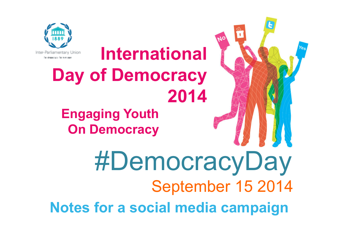



**International Day of Democracy** 

**Engaging Youth On Democracy**

#DemocracyDaySeptember 15 <sup>2014</sup> **Notes for a social media campaign**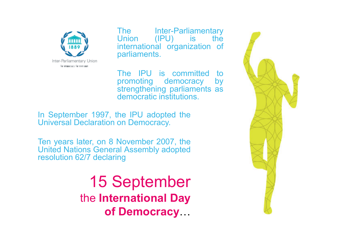

The Inter-Parliamentary<br>Union (IPU) is the Union (IPU) is the<br>international organization of international organization of<br>parliaments parliaments.

The IPU is committed to<br>promoting democracy by promoting democracy strengthening parliaments as democratic institutions.

In September 1997, the IPU adopted the Universal Declaration on Democracy.

Ten years later, on <sup>8</sup> November 2007, the United Nations General Assembly adopted resolution 62/7 declaring

> 15 September the **International Day of Democracy**

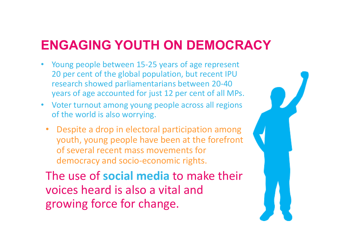## **ENGAGING YOUTH ON DEMOCRACY**

- Young people between 15-25 years of age represent 20 per cent of the global population, but recent IPU research showed parliamentarians between 20-40 years of age accounted for just 12 per cent of all MPs.
- Voter turnout among young people across all regions of the world is also worrying.
	- • Despite a drop in electoral participation among youth, young people have been at the forefront of several recent mass movements for democracy and socio-economic rights.

The use of **social media** to make their voices heard is also a vital and growing force for change.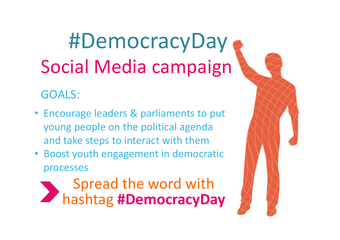#DemocracyDaySocial Media campaign

#### GOALS:

- Encourage leaders & parliaments to put young people on the political agenda and take steps to interact with them
- Boost youth engagement in democratic processes

Spread the word with hashtag **#DemocracyDay**

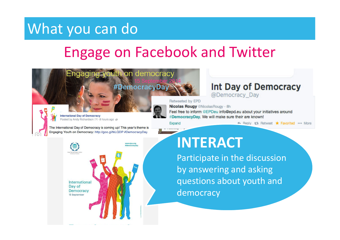## Engage on Facebook and Twitter

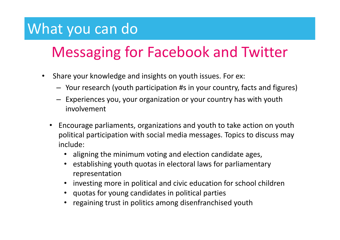## Messaging for Facebook and Twitter

- $\bullet$  Share your knowledge and insights on youth issues. For ex:
	- Your research (youth participation #s in your country, facts and figures)
	- Experiences you, your organization or your country has with youth involvement
	- Encourage parliaments, organizations and youth to take action on youth political participation with social media messages. Topics to discuss may include:
		- •aligning the minimum voting and election candidate ages,
		- • establishing youth quotas in electoral laws for parliamentary representation
		- investing more in political and civic education for school children
		- quotas for young candidates in political parties
		- regaining trust in politics among disenfranchised youth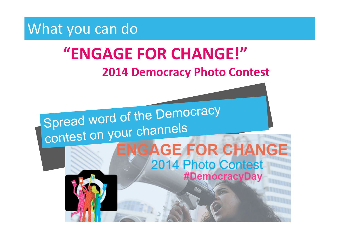

# **"ENGAGE FOR CHANGE!"**

#### **2014 Democracy Photo Contest**

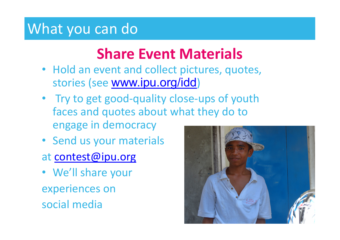## **Share Event Materials**

- Hold an event and collect pictures, quotes, stories (see <u>www.ipu.org/idd</u>)
- Try to get good-quality close-ups of youth faces and quotes about what they do to engage in democracy
- Send us your materials
- at contest@ipu.org
- We'll share your experiences on social media